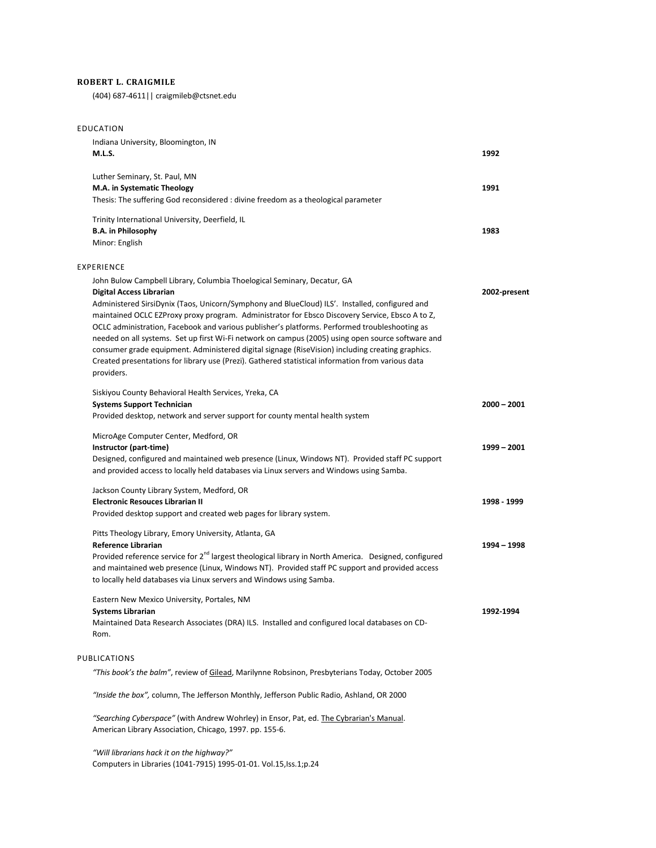## **ROBERT L. CRAIGMILE**

(404) 687-4611|| craigmileb@ctsnet.edu

| EDUCATION                                                                                                                                                                                                                                                                                                                                                                                                                                                                                                                                                                                                                                                                                                                                    |               |
|----------------------------------------------------------------------------------------------------------------------------------------------------------------------------------------------------------------------------------------------------------------------------------------------------------------------------------------------------------------------------------------------------------------------------------------------------------------------------------------------------------------------------------------------------------------------------------------------------------------------------------------------------------------------------------------------------------------------------------------------|---------------|
| Indiana University, Bloomington, IN<br><b>M.L.S.</b>                                                                                                                                                                                                                                                                                                                                                                                                                                                                                                                                                                                                                                                                                         | 1992          |
| Luther Seminary, St. Paul, MN<br>M.A. in Systematic Theology<br>Thesis: The suffering God reconsidered : divine freedom as a theological parameter                                                                                                                                                                                                                                                                                                                                                                                                                                                                                                                                                                                           | 1991          |
| Trinity International University, Deerfield, IL<br><b>B.A.</b> in Philosophy<br>Minor: English                                                                                                                                                                                                                                                                                                                                                                                                                                                                                                                                                                                                                                               | 1983          |
| <b>EXPERIENCE</b>                                                                                                                                                                                                                                                                                                                                                                                                                                                                                                                                                                                                                                                                                                                            |               |
| John Bulow Campbell Library, Columbia Thoelogical Seminary, Decatur, GA<br><b>Digital Access Librarian</b><br>Administered SirsiDynix (Taos, Unicorn/Symphony and BlueCloud) ILS'. Installed, configured and<br>maintained OCLC EZProxy proxy program. Administrator for Ebsco Discovery Service, Ebsco A to Z,<br>OCLC administration, Facebook and various publisher's platforms. Performed troubleshooting as<br>needed on all systems. Set up first Wi-Fi network on campus (2005) using open source software and<br>consumer grade equipment. Administered digital signage (RiseVision) including creating graphics.<br>Created presentations for library use (Prezi). Gathered statistical information from various data<br>providers. | 2002-present  |
| Siskiyou County Behavioral Health Services, Yreka, CA<br><b>Systems Support Technician</b><br>Provided desktop, network and server support for county mental health system                                                                                                                                                                                                                                                                                                                                                                                                                                                                                                                                                                   | $2000 - 2001$ |
| MicroAge Computer Center, Medford, OR<br>Instructor (part-time)<br>Designed, configured and maintained web presence (Linux, Windows NT). Provided staff PC support<br>and provided access to locally held databases via Linux servers and Windows using Samba.                                                                                                                                                                                                                                                                                                                                                                                                                                                                               | 1999 - 2001   |
| Jackson County Library System, Medford, OR<br><b>Electronic Resouces Librarian II</b><br>Provided desktop support and created web pages for library system.                                                                                                                                                                                                                                                                                                                                                                                                                                                                                                                                                                                  | 1998 - 1999   |
| Pitts Theology Library, Emory University, Atlanta, GA<br><b>Reference Librarian</b><br>Provided reference service for 2 <sup>nd</sup> largest theological library in North America. Designed, configured<br>and maintained web presence (Linux, Windows NT). Provided staff PC support and provided access<br>to locally held databases via Linux servers and Windows using Samba.                                                                                                                                                                                                                                                                                                                                                           | 1994 - 1998   |
| Eastern New Mexico University, Portales, NM<br><b>Systems Librarian</b><br>Maintained Data Research Associates (DRA) ILS. Installed and configured local databases on CD-<br>Rom.                                                                                                                                                                                                                                                                                                                                                                                                                                                                                                                                                            | 1992-1994     |
| PUBLICATIONS                                                                                                                                                                                                                                                                                                                                                                                                                                                                                                                                                                                                                                                                                                                                 |               |
| "This book's the balm", review of Gilead, Marilynne Robsinon, Presbyterians Today, October 2005                                                                                                                                                                                                                                                                                                                                                                                                                                                                                                                                                                                                                                              |               |
| "Inside the box", column, The Jefferson Monthly, Jefferson Public Radio, Ashland, OR 2000                                                                                                                                                                                                                                                                                                                                                                                                                                                                                                                                                                                                                                                    |               |
| "Searching Cyberspace" (with Andrew Wohrley) in Ensor, Pat, ed. The Cybrarian's Manual.<br>American Library Association, Chicago, 1997. pp. 155-6.                                                                                                                                                                                                                                                                                                                                                                                                                                                                                                                                                                                           |               |

*"Will librarians hack it on the highway?"*

Computers in Libraries (1041-7915) 1995-01-01. Vol.15,Iss.1;p.24